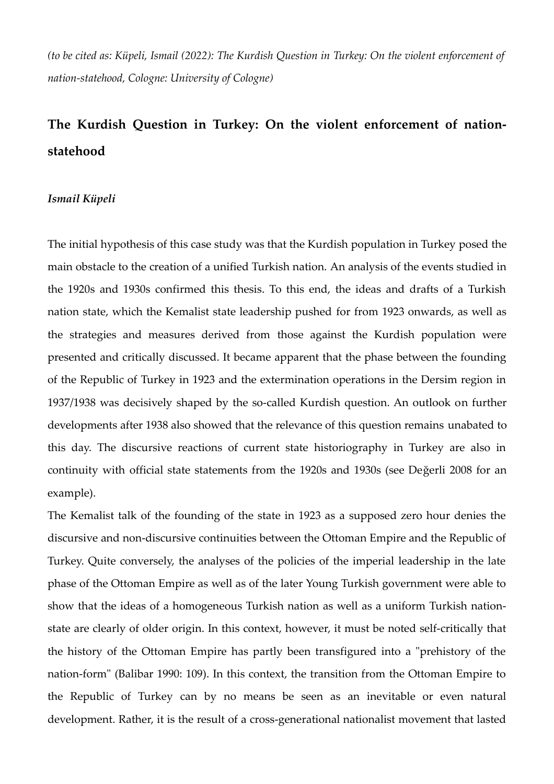*(to be cited as: Küpeli, Ismail (2022): The Kurdish Question in Turkey: On the violent enforcement of nation-statehood, Cologne: University of Cologne)*

## **The Kurdish Question in Turkey: On the violent enforcement of nationstatehood**

## *Ismail Küpeli*

The initial hypothesis of this case study was that the Kurdish population in Turkey posed the main obstacle to the creation of a unified Turkish nation. An analysis of the events studied in the 1920s and 1930s confirmed this thesis. To this end, the ideas and drafts of a Turkish nation state, which the Kemalist state leadership pushed for from 1923 onwards, as well as the strategies and measures derived from those against the Kurdish population were presented and critically discussed. It became apparent that the phase between the founding of the Republic of Turkey in 1923 and the extermination operations in the Dersim region in 1937/1938 was decisively shaped by the so-called Kurdish question. An outlook on further developments after 1938 also showed that the relevance of this question remains unabated to this day. The discursive reactions of current state historiography in Turkey are also in continuity with official state statements from the 1920s and 1930s (see Değerli 2008 for an example).

The Kemalist talk of the founding of the state in 1923 as a supposed zero hour denies the discursive and non-discursive continuities between the Ottoman Empire and the Republic of Turkey. Quite conversely, the analyses of the policies of the imperial leadership in the late phase of the Ottoman Empire as well as of the later Young Turkish government were able to show that the ideas of a homogeneous Turkish nation as well as a uniform Turkish nationstate are clearly of older origin. In this context, however, it must be noted self-critically that the history of the Ottoman Empire has partly been transfigured into a "prehistory of the nation-form" (Balibar 1990: 109). In this context, the transition from the Ottoman Empire to the Republic of Turkey can by no means be seen as an inevitable or even natural development. Rather, it is the result of a cross-generational nationalist movement that lasted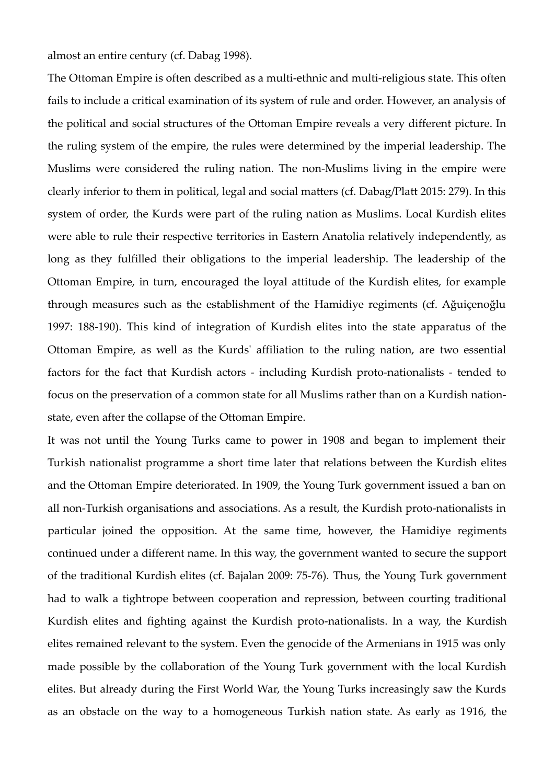almost an entire century (cf. Dabag 1998).

The Ottoman Empire is often described as a multi-ethnic and multi-religious state. This often fails to include a critical examination of its system of rule and order. However, an analysis of the political and social structures of the Ottoman Empire reveals a very different picture. In the ruling system of the empire, the rules were determined by the imperial leadership. The Muslims were considered the ruling nation. The non-Muslims living in the empire were clearly inferior to them in political, legal and social matters (cf. Dabag/Platt 2015: 279). In this system of order, the Kurds were part of the ruling nation as Muslims. Local Kurdish elites were able to rule their respective territories in Eastern Anatolia relatively independently, as long as they fulfilled their obligations to the imperial leadership. The leadership of the Ottoman Empire, in turn, encouraged the loyal attitude of the Kurdish elites, for example through measures such as the establishment of the Hamidiye regiments (cf. Ağuiçenoğlu 1997: 188-190). This kind of integration of Kurdish elites into the state apparatus of the Ottoman Empire, as well as the Kurds' affiliation to the ruling nation, are two essential factors for the fact that Kurdish actors - including Kurdish proto-nationalists - tended to focus on the preservation of a common state for all Muslims rather than on a Kurdish nationstate, even after the collapse of the Ottoman Empire.

It was not until the Young Turks came to power in 1908 and began to implement their Turkish nationalist programme a short time later that relations between the Kurdish elites and the Ottoman Empire deteriorated. In 1909, the Young Turk government issued a ban on all non-Turkish organisations and associations. As a result, the Kurdish proto-nationalists in particular joined the opposition. At the same time, however, the Hamidiye regiments continued under a different name. In this way, the government wanted to secure the support of the traditional Kurdish elites (cf. Bajalan 2009: 75-76). Thus, the Young Turk government had to walk a tightrope between cooperation and repression, between courting traditional Kurdish elites and fighting against the Kurdish proto-nationalists. In a way, the Kurdish elites remained relevant to the system. Even the genocide of the Armenians in 1915 was only made possible by the collaboration of the Young Turk government with the local Kurdish elites. But already during the First World War, the Young Turks increasingly saw the Kurds as an obstacle on the way to a homogeneous Turkish nation state. As early as 1916, the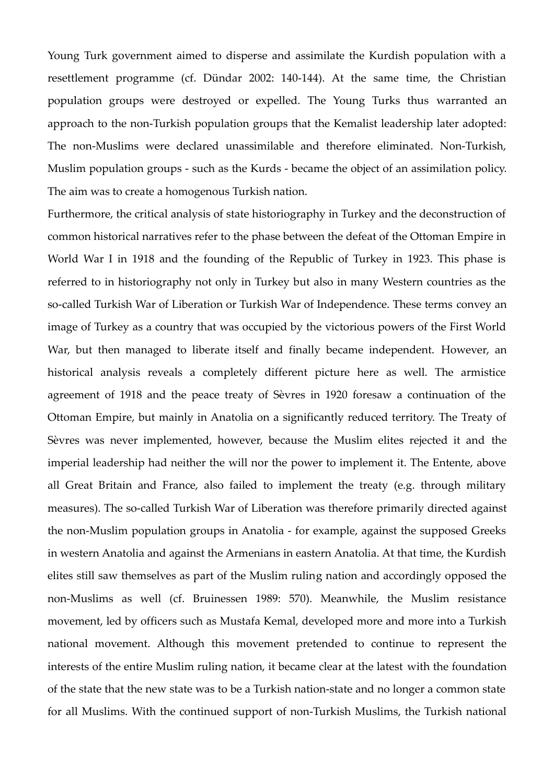Young Turk government aimed to disperse and assimilate the Kurdish population with a resettlement programme (cf. Dündar 2002: 140-144). At the same time, the Christian population groups were destroyed or expelled. The Young Turks thus warranted an approach to the non-Turkish population groups that the Kemalist leadership later adopted: The non-Muslims were declared unassimilable and therefore eliminated. Non-Turkish, Muslim population groups - such as the Kurds - became the object of an assimilation policy. The aim was to create a homogenous Turkish nation.

Furthermore, the critical analysis of state historiography in Turkey and the deconstruction of common historical narratives refer to the phase between the defeat of the Ottoman Empire in World War I in 1918 and the founding of the Republic of Turkey in 1923. This phase is referred to in historiography not only in Turkey but also in many Western countries as the so-called Turkish War of Liberation or Turkish War of Independence. These terms convey an image of Turkey as a country that was occupied by the victorious powers of the First World War, but then managed to liberate itself and finally became independent. However, an historical analysis reveals a completely different picture here as well. The armistice agreement of 1918 and the peace treaty of Sèvres in 1920 foresaw a continuation of the Ottoman Empire, but mainly in Anatolia on a significantly reduced territory. The Treaty of Sèvres was never implemented, however, because the Muslim elites rejected it and the imperial leadership had neither the will nor the power to implement it. The Entente, above all Great Britain and France, also failed to implement the treaty (e.g. through military measures). The so-called Turkish War of Liberation was therefore primarily directed against the non-Muslim population groups in Anatolia - for example, against the supposed Greeks in western Anatolia and against the Armenians in eastern Anatolia. At that time, the Kurdish elites still saw themselves as part of the Muslim ruling nation and accordingly opposed the non-Muslims as well (cf. Bruinessen 1989: 570). Meanwhile, the Muslim resistance movement, led by officers such as Mustafa Kemal, developed more and more into a Turkish national movement. Although this movement pretended to continue to represent the interests of the entire Muslim ruling nation, it became clear at the latest with the foundation of the state that the new state was to be a Turkish nation-state and no longer a common state for all Muslims. With the continued support of non-Turkish Muslims, the Turkish national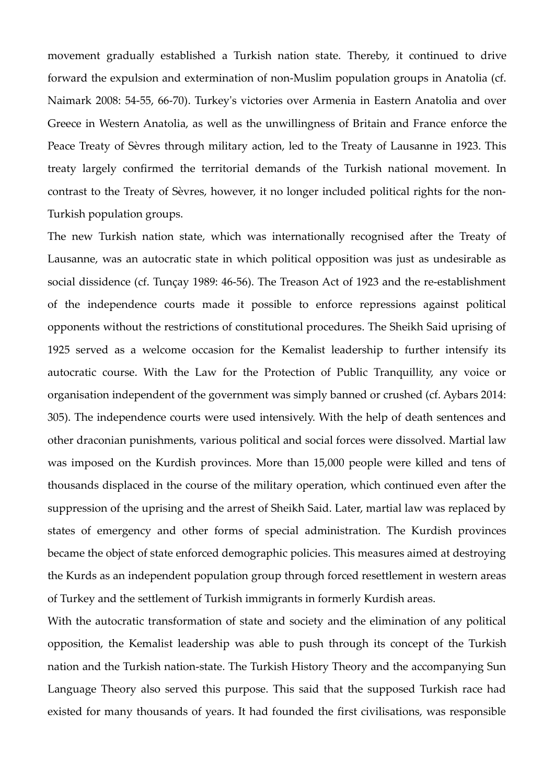movement gradually established a Turkish nation state. Thereby, it continued to drive forward the expulsion and extermination of non-Muslim population groups in Anatolia (cf. Naimark 2008: 54-55, 66-70). Turkey's victories over Armenia in Eastern Anatolia and over Greece in Western Anatolia, as well as the unwillingness of Britain and France enforce the Peace Treaty of Sèvres through military action, led to the Treaty of Lausanne in 1923. This treaty largely confirmed the territorial demands of the Turkish national movement. In contrast to the Treaty of Sèvres, however, it no longer included political rights for the non-Turkish population groups.

The new Turkish nation state, which was internationally recognised after the Treaty of Lausanne, was an autocratic state in which political opposition was just as undesirable as social dissidence (cf. Tunçay 1989: 46-56). The Treason Act of 1923 and the re-establishment of the independence courts made it possible to enforce repressions against political opponents without the restrictions of constitutional procedures. The Sheikh Said uprising of 1925 served as a welcome occasion for the Kemalist leadership to further intensify its autocratic course. With the Law for the Protection of Public Tranquillity, any voice or organisation independent of the government was simply banned or crushed (cf. Aybars 2014: 305). The independence courts were used intensively. With the help of death sentences and other draconian punishments, various political and social forces were dissolved. Martial law was imposed on the Kurdish provinces. More than 15,000 people were killed and tens of thousands displaced in the course of the military operation, which continued even after the suppression of the uprising and the arrest of Sheikh Said. Later, martial law was replaced by states of emergency and other forms of special administration. The Kurdish provinces became the object of state enforced demographic policies. This measures aimed at destroying the Kurds as an independent population group through forced resettlement in western areas of Turkey and the settlement of Turkish immigrants in formerly Kurdish areas.

With the autocratic transformation of state and society and the elimination of any political opposition, the Kemalist leadership was able to push through its concept of the Turkish nation and the Turkish nation-state. The Turkish History Theory and the accompanying Sun Language Theory also served this purpose. This said that the supposed Turkish race had existed for many thousands of years. It had founded the first civilisations, was responsible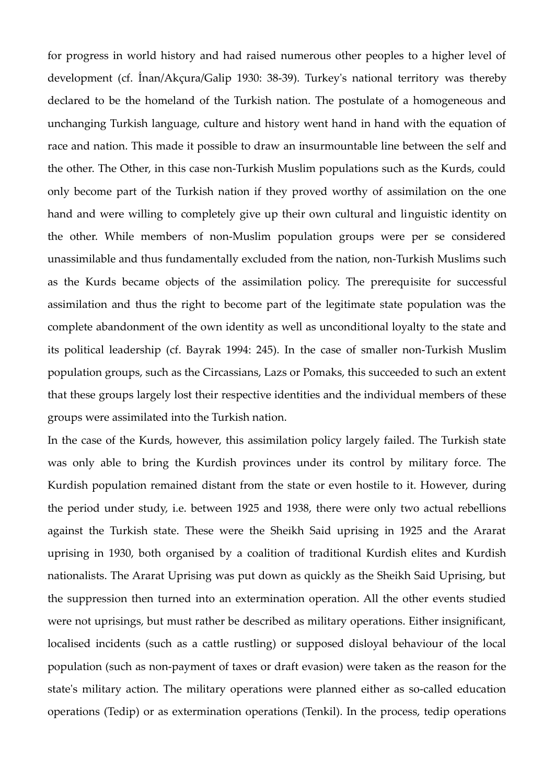for progress in world history and had raised numerous other peoples to a higher level of development (cf. İnan/Akçura/Galip 1930: 38-39). Turkey's national territory was thereby declared to be the homeland of the Turkish nation. The postulate of a homogeneous and unchanging Turkish language, culture and history went hand in hand with the equation of race and nation. This made it possible to draw an insurmountable line between the self and the other. The Other, in this case non-Turkish Muslim populations such as the Kurds, could only become part of the Turkish nation if they proved worthy of assimilation on the one hand and were willing to completely give up their own cultural and linguistic identity on the other. While members of non-Muslim population groups were per se considered unassimilable and thus fundamentally excluded from the nation, non-Turkish Muslims such as the Kurds became objects of the assimilation policy. The prerequisite for successful assimilation and thus the right to become part of the legitimate state population was the complete abandonment of the own identity as well as unconditional loyalty to the state and its political leadership (cf. Bayrak 1994: 245). In the case of smaller non-Turkish Muslim population groups, such as the Circassians, Lazs or Pomaks, this succeeded to such an extent that these groups largely lost their respective identities and the individual members of these groups were assimilated into the Turkish nation.

In the case of the Kurds, however, this assimilation policy largely failed. The Turkish state was only able to bring the Kurdish provinces under its control by military force. The Kurdish population remained distant from the state or even hostile to it. However, during the period under study, i.e. between 1925 and 1938, there were only two actual rebellions against the Turkish state. These were the Sheikh Said uprising in 1925 and the Ararat uprising in 1930, both organised by a coalition of traditional Kurdish elites and Kurdish nationalists. The Ararat Uprising was put down as quickly as the Sheikh Said Uprising, but the suppression then turned into an extermination operation. All the other events studied were not uprisings, but must rather be described as military operations. Either insignificant, localised incidents (such as a cattle rustling) or supposed disloyal behaviour of the local population (such as non-payment of taxes or draft evasion) were taken as the reason for the state's military action. The military operations were planned either as so-called education operations (Tedip) or as extermination operations (Tenkil). In the process, tedip operations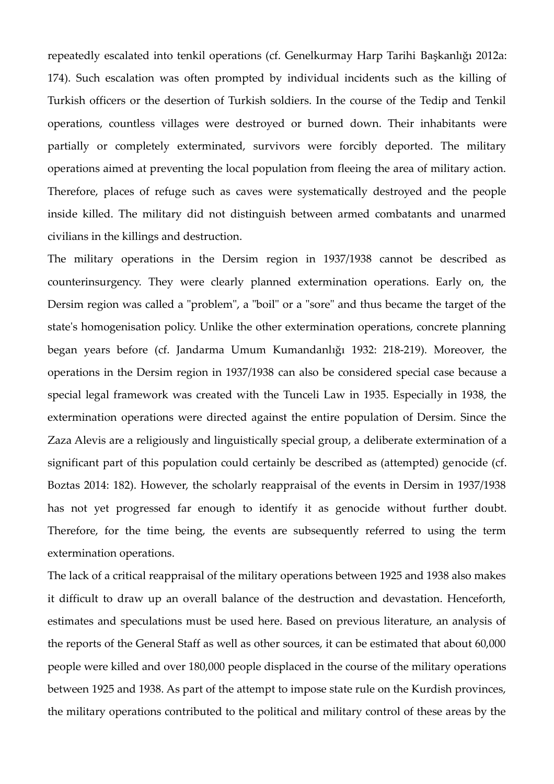repeatedly escalated into tenkil operations (cf. Genelkurmay Harp Tarihi Başkanlığı 2012a: 174). Such escalation was often prompted by individual incidents such as the killing of Turkish officers or the desertion of Turkish soldiers. In the course of the Tedip and Tenkil operations, countless villages were destroyed or burned down. Their inhabitants were partially or completely exterminated, survivors were forcibly deported. The military operations aimed at preventing the local population from fleeing the area of military action. Therefore, places of refuge such as caves were systematically destroyed and the people inside killed. The military did not distinguish between armed combatants and unarmed civilians in the killings and destruction.

The military operations in the Dersim region in 1937/1938 cannot be described as counterinsurgency. They were clearly planned extermination operations. Early on, the Dersim region was called a "problem", a "boil" or a "sore" and thus became the target of the state's homogenisation policy. Unlike the other extermination operations, concrete planning began years before (cf. Jandarma Umum Kumandanlığı 1932: 218-219). Moreover, the operations in the Dersim region in 1937/1938 can also be considered special case because a special legal framework was created with the Tunceli Law in 1935. Especially in 1938, the extermination operations were directed against the entire population of Dersim. Since the Zaza Alevis are a religiously and linguistically special group, a deliberate extermination of a significant part of this population could certainly be described as (attempted) genocide (cf. Boztas 2014: 182). However, the scholarly reappraisal of the events in Dersim in 1937/1938 has not yet progressed far enough to identify it as genocide without further doubt. Therefore, for the time being, the events are subsequently referred to using the term extermination operations.

The lack of a critical reappraisal of the military operations between 1925 and 1938 also makes it difficult to draw up an overall balance of the destruction and devastation. Henceforth, estimates and speculations must be used here. Based on previous literature, an analysis of the reports of the General Staff as well as other sources, it can be estimated that about 60,000 people were killed and over 180,000 people displaced in the course of the military operations between 1925 and 1938. As part of the attempt to impose state rule on the Kurdish provinces, the military operations contributed to the political and military control of these areas by the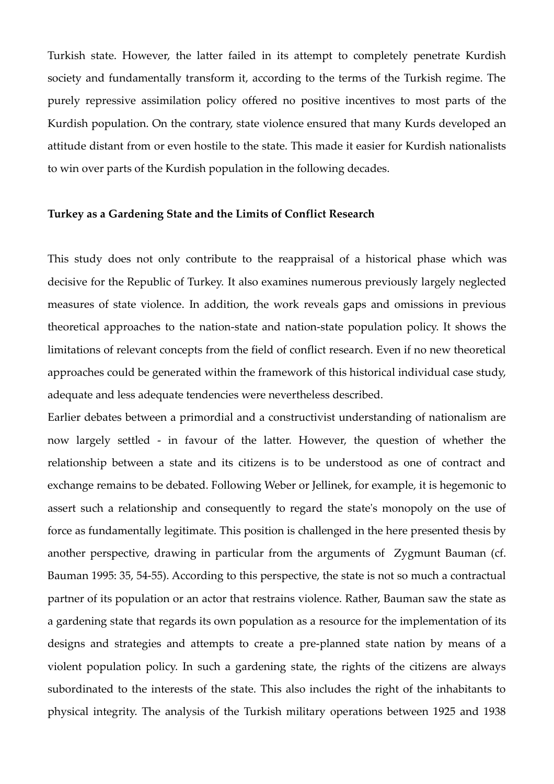Turkish state. However, the latter failed in its attempt to completely penetrate Kurdish society and fundamentally transform it, according to the terms of the Turkish regime. The purely repressive assimilation policy offered no positive incentives to most parts of the Kurdish population. On the contrary, state violence ensured that many Kurds developed an attitude distant from or even hostile to the state. This made it easier for Kurdish nationalists to win over parts of the Kurdish population in the following decades.

## **Turkey as a Gardening State and the Limits of Conflict Research**

This study does not only contribute to the reappraisal of a historical phase which was decisive for the Republic of Turkey. It also examines numerous previously largely neglected measures of state violence. In addition, the work reveals gaps and omissions in previous theoretical approaches to the nation-state and nation-state population policy. It shows the limitations of relevant concepts from the field of conflict research. Even if no new theoretical approaches could be generated within the framework of this historical individual case study, adequate and less adequate tendencies were nevertheless described.

Earlier debates between a primordial and a constructivist understanding of nationalism are now largely settled - in favour of the latter. However, the question of whether the relationship between a state and its citizens is to be understood as one of contract and exchange remains to be debated. Following Weber or Jellinek, for example, it is hegemonic to assert such a relationship and consequently to regard the state's monopoly on the use of force as fundamentally legitimate. This position is challenged in the here presented thesis by another perspective, drawing in particular from the arguments of Zygmunt Bauman (cf. Bauman 1995: 35, 54-55). According to this perspective, the state is not so much a contractual partner of its population or an actor that restrains violence. Rather, Bauman saw the state as a gardening state that regards its own population as a resource for the implementation of its designs and strategies and attempts to create a pre-planned state nation by means of a violent population policy. In such a gardening state, the rights of the citizens are always subordinated to the interests of the state. This also includes the right of the inhabitants to physical integrity. The analysis of the Turkish military operations between 1925 and 1938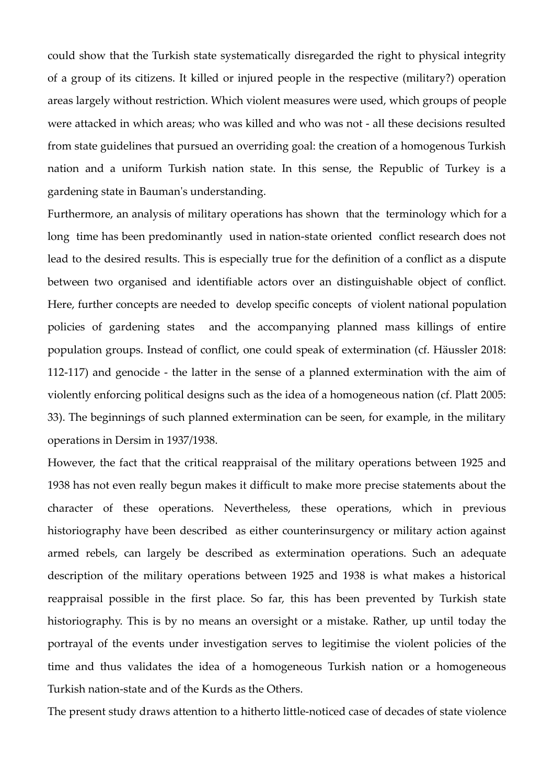could show that the Turkish state systematically disregarded the right to physical integrity of a group of its citizens. It killed or injured people in the respective (military?) operation areas largely without restriction. Which violent measures were used, which groups of people were attacked in which areas; who was killed and who was not - all these decisions resulted from state guidelines that pursued an overriding goal: the creation of a homogenous Turkish nation and a uniform Turkish nation state. In this sense, the Republic of Turkey is a gardening state in Bauman's understanding.

Furthermore, an analysis of military operations has shown that the terminology which for a long time has been predominantly used in nation-state oriented conflict research does not lead to the desired results. This is especially true for the definition of a conflict as a dispute between two organised and identifiable actors over an distinguishable object of conflict. Here, further concepts are needed to develop specific concepts of violent national population policies of gardening states and the accompanying planned mass killings of entire population groups. Instead of conflict, one could speak of extermination (cf. Häussler 2018: 112-117) and genocide - the latter in the sense of a planned extermination with the aim of violently enforcing political designs such as the idea of a homogeneous nation (cf. Platt 2005: 33). The beginnings of such planned extermination can be seen, for example, in the military operations in Dersim in 1937/1938.

However, the fact that the critical reappraisal of the military operations between 1925 and 1938 has not even really begun makes it difficult to make more precise statements about the character of these operations. Nevertheless, these operations, which in previous historiography have been described as either counterinsurgency or military action against armed rebels, can largely be described as extermination operations. Such an adequate description of the military operations between 1925 and 1938 is what makes a historical reappraisal possible in the first place. So far, this has been prevented by Turkish state historiography. This is by no means an oversight or a mistake. Rather, up until today the portrayal of the events under investigation serves to legitimise the violent policies of the time and thus validates the idea of a homogeneous Turkish nation or a homogeneous Turkish nation-state and of the Kurds as the Others.

The present study draws attention to a hitherto little-noticed case of decades of state violence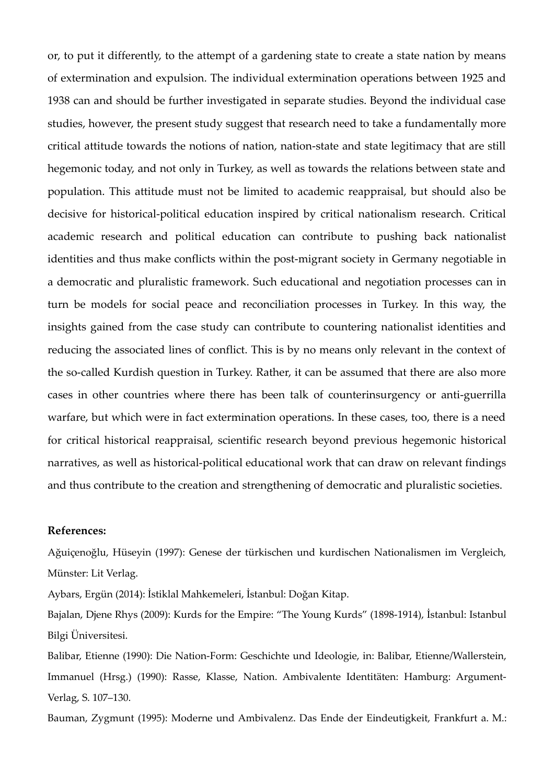or, to put it differently, to the attempt of a gardening state to create a state nation by means of extermination and expulsion. The individual extermination operations between 1925 and 1938 can and should be further investigated in separate studies. Beyond the individual case studies, however, the present study suggest that research need to take a fundamentally more critical attitude towards the notions of nation, nation-state and state legitimacy that are still hegemonic today, and not only in Turkey, as well as towards the relations between state and population. This attitude must not be limited to academic reappraisal, but should also be decisive for historical-political education inspired by critical nationalism research. Critical academic research and political education can contribute to pushing back nationalist identities and thus make conflicts within the post-migrant society in Germany negotiable in a democratic and pluralistic framework. Such educational and negotiation processes can in turn be models for social peace and reconciliation processes in Turkey. In this way, the insights gained from the case study can contribute to countering nationalist identities and reducing the associated lines of conflict. This is by no means only relevant in the context of the so-called Kurdish question in Turkey. Rather, it can be assumed that there are also more cases in other countries where there has been talk of counterinsurgency or anti-guerrilla warfare, but which were in fact extermination operations. In these cases, too, there is a need for critical historical reappraisal, scientific research beyond previous hegemonic historical narratives, as well as historical-political educational work that can draw on relevant findings and thus contribute to the creation and strengthening of democratic and pluralistic societies.

## **References:**

Ağuiçenoğlu, Hüseyin (1997): Genese der türkischen und kurdischen Nationalismen im Vergleich, Münster: Lit Verlag.

Aybars, Ergün (2014): İstiklal Mahkemeleri, İstanbul: Doğan Kitap.

Bajalan, Djene Rhys (2009): Kurds for the Empire: "The Young Kurds" (1898-1914), İstanbul: Istanbul Bilgi Üniversitesi.

Balibar, Etienne (1990): Die Nation-Form: Geschichte und Ideologie, in: Balibar, Etienne/Wallerstein, Immanuel (Hrsg.) (1990): Rasse, Klasse, Nation. Ambivalente Identitäten: Hamburg: Argument-Verlag, S. 107–130.

Bauman, Zygmunt (1995): Moderne und Ambivalenz. Das Ende der Eindeutigkeit, Frankfurt a. M.: